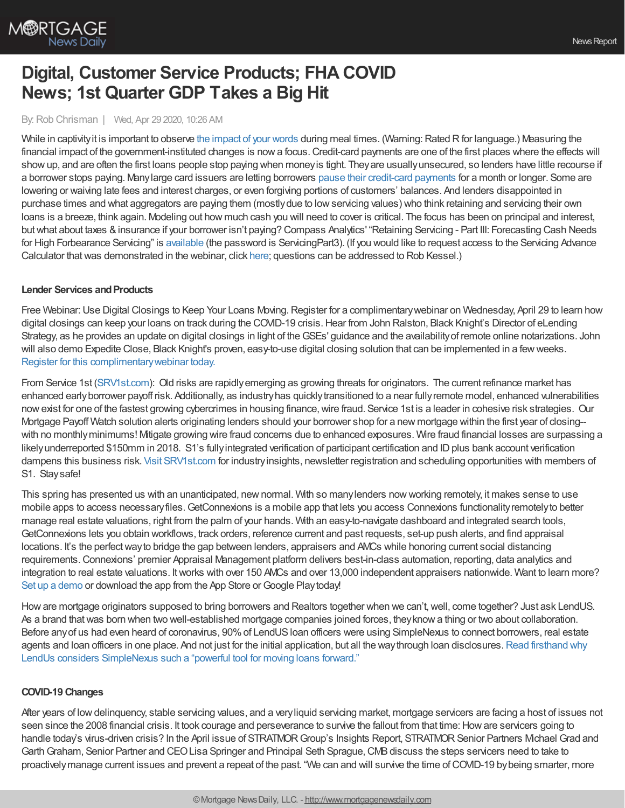

# **Digital, Customer Service Products; FHA COVID News; 1st Quarter GDP Takes a Big Hit**

#### By:Rob Chrisman | Wed, Apr 29 2020, 10:26 AM

While in captivity it is important to observe the [impact](https://www.youtube.com/watch?v=1OVwuFw7acM) of your words during meal times. (Warning: Rated R for language.) Measuring the financial impact of the government-instituted changes is now a focus. Credit-card payments are one of the first places where the effects will showup, and are often the first loans people stop paying when moneyis tight. Theyare usuallyunsecured, so lenders have little recourse if a borrower stops paying. Manylarge card issuers are letting borrowers pause their [credit-card](https://www.marketwatch.com/story/millions-of-credit-card-customers-cant-pay-their-bills-and-lenders-are-bracing-for-the-impact-2020-04-25) payments for a month or longer. Some are lowering or waiving late fees and interest charges, or even forgiving portions of customers' balances. And lenders disappointed in purchase times and what aggregators are paying them (mostlydue to lowservicing values) who think retaining and servicing their own loans is a breeze, think again. Modeling out how much cash you will need to cover is critical. The focus has been on principal and interest, butwhat about taxes &insurance if your borrower isn't paying? Compass Analytics' "Retaining Servicing - Part III: Forecasting Cash Needs for High Forbearance Servicing" is [available](https://vimeo.com/411548492/49dc27ea50) (the password is ServicingPart3). (If you would like to request access to the Servicing Advance Calculator thatwas demonstrated in the webinar, click [here](https://info.comm-bkfs.com/acton/ct/39257/s-00f2-2004/Bct/l-0014/l-0014:5/ct1_0/1?sid=TV2%253AEY77LHuDl); questions can be addressed to Rob Kessel.)

#### **Lender Services and Products**

Free Webinar: Use Digital Closings to Keep Your Loans Moving. Register for a complimentary webinar on Wednesday, April 29 to learn how digital closings can keep your loans on track during the COVID-19 crisis. Hear from John Ralston, Black Knight's Director of eLending Strategy, as he provides an update on digital closings in light of theGSEs' guidance and the availabilityof remote online notarizations. John will also demo Expedite Close, Black Knight's proven, easy-to-use digital closing solution that can be implemented in a few weeks. Register for this [complimentarywebinar](https://www.blackknightinc.com/markets-we-serve/mortgage/loan-origination-solutions/expedite-close/digital-close-lp/?utm_source=Rob%20Chrisman&utm_medium=ad&utm_campaign=Expedite%20Close%20-%20Digital%20Close%202020&utm_content=CMP-04995-P5F0M5) today.

From Service 1st [\(SRV1st.com](https://www.srv1st.com/)): Old risks are rapidlyemerging as growing threats for originators. The current refinance market has enhanced earlyborrower payoff risk. Additionally, as industryhas quicklytransitioned to a near fullyremote model, enhanced vulnerabilities now exist for one of the fastest growing cybercrimes in housing finance, wire fraud. Service 1st is a leader in cohesive risk strategies. Our Mortgage Payoff Watch solution alerts originating lenders should your borrower shop for a new mortgage within the first year of closing- with no monthlyminimums! Mtigate growing wire fraud concerns due to enhanced exposures. Wire fraud financial losses are surpassing a likely underreported \$150mm in 2018. S1's fully integrated verification of participant certification and ID plus bank account verification dampens this business risk. Visit [SRV1st.com](https://www.srv1st.com/) for industryinsights, newsletter registration and scheduling opportunities with members of S1. Staysafe!

This spring has presented us with an unanticipated, newnormal. With so manylenders nowworking remotely, it makes sense to use mobile apps to access necessaryfiles.GetConnexions is a mobile app that lets you access Connexions functionalityremotelyto better manage real estate valuations, right from the palm of your hands. With an easy-to-navigate dashboard and integrated search tools, GetConnexions lets you obtain workflows, track orders, reference current and past requests, set-up push alerts, and find appraisal locations. It's the perfectwayto bridge the gap between lenders, appraisers and AMCs while honoring current social distancing requirements.Connexions' premier Appraisal Management platform delivers best-in-class automation, reporting, data analytics and integration to real estate valuations. Itworks with over 150 AMCs and over 13,000 independent appraisers nationwide. Want to learn more? Set up a [demo](https://www.connexionssoftware.com/demo/) or download the app from the App Store or Google Playtoday!

How are mortgage originators supposed to bring borrowers and Realtors together when we can't, well, come together? Just ask LendUS. As a brand thatwas born when two well-established mortgage companies joined forces, theyknowa thing or two about collaboration. Before anyof us had even heard of coronavirus, 90%of LendUSloan officers were using SimpleNexus to connect borrowers, real estate agents and loan officers in one place. And not just for the initial application, but all the way through loan disclosures. Read firsthand why LendUs considers SimpleNexus such a "powerful tool for moving loans forward."

## **COVID-19 Changes**

After years of low delinquency, stable servicing values, and a very liquid servicing market, mortgage servicers are facing a host of issues not seen since the 2008 financial crisis. It took courage and perseverance to survive the fallout from that time: How are servicers going to handle today's virus-driven crisis? In the April issue of STRATMOR Group's Insights Report, STRATMOR Senior Partners Michael Grad and Garth Graham, Senior Partner and CEO Lisa Springer and Principal Seth Sprague, CMB discuss the steps servicers need to take to proactivelymanage current issues and prevent a repeat of the past. "We can and will survive the time ofCOVID-19 bybeing smarter, more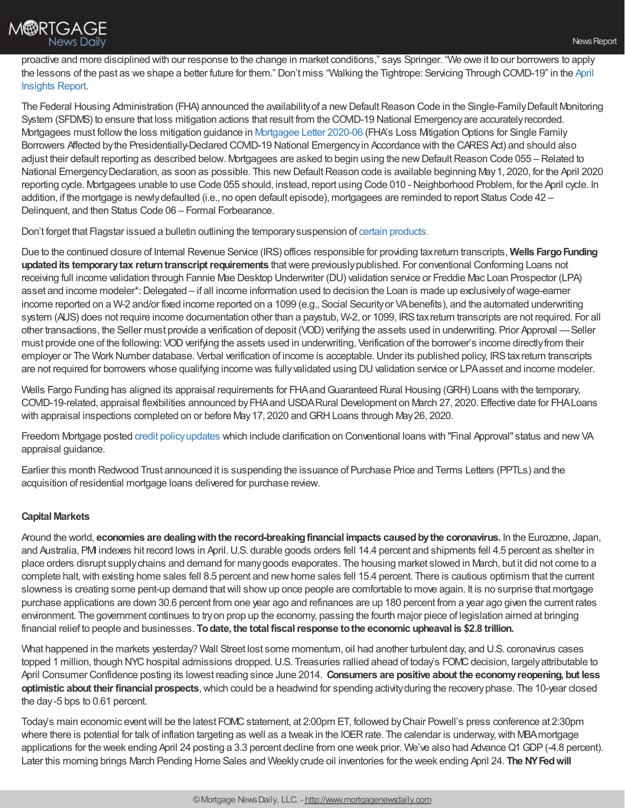proactive and more disciplined with our response to the change in market conditions," says Springer. "We owe it to our borrowers to apply the lessons of the past as we shape a better future for them." Don't miss "Walking the Tightrope: Servicing Through [COVID-19"](https://www.stratmorgroup.com/insights/) in the April Insights Report.

The Federal Housing Administration (FHA) announced the availability of a new Default Reason Code in the Single-Family Default Monitoring System (SFDMS) to ensure that loss mitigation actions that result from the COVID-19 National Emergencyare accuratelyrecorded. [Mortgagee](https://www.hud.gov/sites/dfiles/OCHCO/documents/20-06hsngml.pdf)s must follow the loss mitigation guidance in Mortgagee Letter 2020-06 (FHA's Loss Mitgation Options for Single Family Borrowers Affected by the Presidentially-Declared COVID-19 National Emergency in Accordance with the CARES Act) and should also adjust their default reporting as described below. Mortgagees are asked to begin using the new Default Reason Code 055 – Related to National Emergency Declaration, as soon as possible. This new Default Reason code is available beginning May 1, 2020, for the April 2020 reporting cycle. Mortgagees unable to use Code 055 should, instead, report using Code 010 - Neighborhood Problem, for the April cycle. In addition, if the mortgage is newly defaulted (i.e., no open default episode), mortgagees are reminded to report Status Code 42 – Delinquent, and then Status Code 06 – Formal Forbearance.

Don't forget that Flagstar issued a bulletin outlining the temporarysuspension of certain [products.](https://www.flagstar.com/content/dam/tpo/sellers-guide/announcements/20043.pdf)

Due to the continued closure of Internal Revenue Service (IRS) offices responsible for providing taxreturn transcripts, **Wells FargoFunding updatedits temporarytax returntranscriptrequirements** thatwere previouslypublished. For conventional Conforming Loans not receiving full income validation through Fannie Mae Desktop Underwriter (DU) validation service or Freddie Mac Loan Prospector (LPA) asset and income modeler\*: Delegated – if all income information used to decision the Loan is made up exclusively of wage-earner income reported on a W-2 and/or fixed income reported on a 1099 (e.g., Social Securityor VAbenefits), and the automated underwriting system (AUS) does not require income documentation other than a paystub, W-2, or 1099, IRS tax return transcripts are not required. For all other transactions, the Seller must provide a verification of deposit (VOD) verifying the assets used in underwriting. Prior Approval —Seller must provide one of the following: VODverifying the assets used in underwriting, Verification of the borrower's income directlyfrom their employer or The Work Number database. Verbal verification of income is acceptable. Under its published policy, IRS tax return transcripts are not required for borrowers whose qualifying income was fully validated using DU validation service or LPA asset and income modeler.

Wells Fargo Funding has aligned its appraisal requirements for FHA and Guaranteed Rural Housing (GRH) Loans with the temporary, COVID-19-related, appraisal flexibilities announced byFHAand USDARural Development on March 27, 2020. Effective date for FHALoans with appraisal inspections completed on or before May 17, 2020 and GRH Loans through May 26, 2020.

Freedom Mortgage posted credit [policyupdates](https://image.email-freedommortgage.com/lib/fe5c15707c63077b7010/m/2/9eb5599d-4eda-4cad-bbac-1899f2c00057.pdf?) which include clarification on Conventional loans with "Final Approval" status and newVA appraisal guidance.

Earlier this month Redwood Trust announced it is suspending the issuance of Purchase Price and Terms Letters (PPTLs) and the acquisition of residential mortgage loans delivered for purchase review.

## **Capital Markets**

Around the world, **economies are dealingwiththe record-breakingfinancial impacts causedbythe coronavirus.** In the Eurozone, Japan, and Australia, PMI indexes hit record lows in April.U.S. durable goods orders fell 14.4 percent and shipments fell 4.5 percent as shelter in place orders disrupt supplychains and demand for manygoods evaporates. The housing market slowed in March, but it did not come to a complete halt, with existing home sales fell 8.5 percent and new home sales fell 15.4 percent. There is cautious optimism that the current slowness is creating some pent-up demand thatwill showup once people are comfortable to move again. It is no surprise that mortgage purchase applications are down 30.6 percent from one year ago and refinances are up 180 percent from a year ago given the current rates environment. The government continues to tryon prop up the economy, passing the fourth major piece of legislation aimed at bringing financial relief to people and businesses. **Todate, the total fiscalresponse tothe economic upheaval is \$2.8 trillion.**

What happened in the markets yesterday? Wall Street lost some momentum, oil had another turbulent day, and U.S. coronavirus cases topped 1 million, though NYC hospital admissions dropped. U.S. Treasuries rallied ahead of today's FOMC decision, largely attributable to April Consumer Confidence posting its lowest reading since June 2014. **Consumers are positive about the economyreopening, but less optimistic about their financial prospects**, which could be a headwind for spending activity during the recovery phase. The 10-year closed the day-5 bps to 0.61 percent.

Today's main economic event will be the latest FOMC statement, at 2:00pm ET, followed by Chair Powell's press conference at 2:30pm where there is potential for talk of inflation targeting as well as a tweak in the IOER rate. The calendar is underway, with MBA mortgage applications for the week ending April 24 posting a 3.3 percent decline from one week prior. We've also had Advance Q1 GDP (-4.8 percent). Later this morning brings March Pending Home Sales and Weeklycrude oil inventories for the week ending April 24. **The NYFedwill**